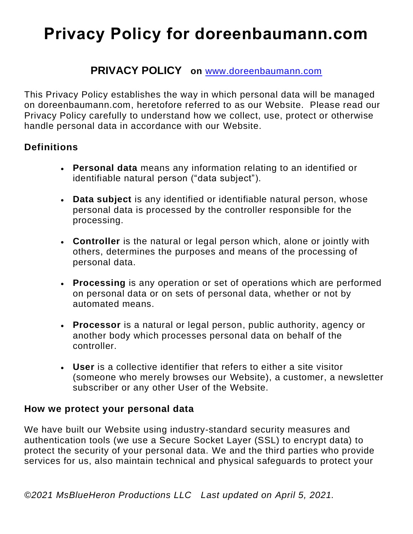## **PRIVACY POLICY on** [www.doreenbaumann.com](http://www.doreenbaumann.com/)

This Privacy Policy establishes the way in which personal data will be managed on doreenbaumann.com, heretofore referred to as our Website. Please read our Privacy Policy carefully to understand how we collect, use, protect or otherwise handle personal data in accordance with our Website.

#### **Definitions**

- **Personal data** means any information relating to an identified or identifiable natural person ("data subject").
- **Data subject** is any identified or identifiable natural person, whose personal data is processed by the controller responsible for the processing.
- **Controller** is the natural or legal person which, alone or jointly with others, determines the purposes and means of the processing of personal data.
- **Processing** is any operation or set of operations which are performed on personal data or on sets of personal data, whether or not by automated means.
- **Processor** is a natural or legal person, public authority, agency or another body which processes personal data on behalf of the controller.
- **User** is a collective identifier that refers to either a site visitor (someone who merely browses our Website), a customer, a newsletter subscriber or any other User of the Website.

#### **How we protect your personal data**

We have built our Website using industry-standard security measures and authentication tools (we use a Secure Socket Layer (SSL) to encrypt data) to protect the security of your personal data. We and the third parties who provide services for us, also maintain technical and physical safeguards to protect your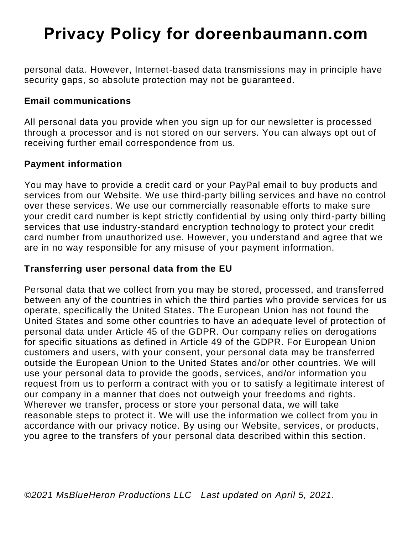personal data. However, Internet-based data transmissions may in principle have security gaps, so absolute protection may not be guaranteed.

#### **Email communications**

All personal data you provide when you sign up for our newsletter is processed through a processor and is not stored on our servers. You can always opt out of receiving further email correspondence from us.

#### **Payment information**

You may have to provide a credit card or your PayPal email to buy products and services from our Website. We use third-party billing services and have no control over these services. We use our commercially reasonable efforts to make sure your credit card number is kept strictly confidential by using only third-party billing services that use industry-standard encryption technology to protect your credit card number from unauthorized use. However, you understand and agree that we are in no way responsible for any misuse of your payment information.

#### **Transferring user personal data from the EU**

Personal data that we collect from you may be stored, processed, and transferred between any of the countries in which the third parties who provide services for us operate, specifically the United States. The European Union has not found the United States and some other countries to have an adequate level of protection of personal data under Article 45 of the GDPR. Our company relies on derogations for specific situations as defined in Article 49 of the GDPR. For European Union customers and users, with your consent, your personal data may be transferred outside the European Union to the United States and/or other countries. We will use your personal data to provide the goods, services, and/or information you request from us to perform a contract with you or to satisfy a legitimate interest of our company in a manner that does not outweigh your freedoms and rights. Wherever we transfer, process or store your personal data, we will take reasonable steps to protect it. We will use the information we collect from you in accordance with our privacy notice. By using our Website, services, or products, you agree to the transfers of your personal data described within this section.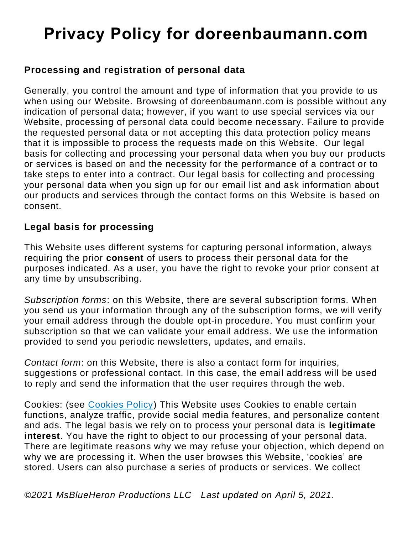### **Processing and registration of personal data**

Generally, you control the amount and type of information that you provide to us when using our Website. Browsing of doreenbaumann.com is possible without any indication of personal data; however, if you want to use special services via our Website, processing of personal data could become necessary. Failure to provide the requested personal data or not accepting this data protection policy means that it is impossible to process the requests made on this Website. Our legal basis for collecting and processing your personal data when you buy our products or services is based on and the necessity for the performance of a contract or to take steps to enter into a contract. Our legal basis for collecting and processing your personal data when you sign up for our email list and ask information about our products and services through the contact forms on this Website is based on consent.

### **Legal basis for processing**

This Website uses different systems for capturing personal information, always requiring the prior **consent** of users to process their personal data for the purposes indicated. As a user, you have the right to revoke your prior consent at any time by unsubscribing.

*Subscription forms*: on this Website, there are several subscription forms. When you send us your information through any of the subscription forms, we will verify your email address through the double opt-in procedure. You must confirm your subscription so that we can validate your email address. We use the information provided to send you periodic newsletters, updates, and emails.

*Contact form*: on this Website, there is also a contact form for inquiries, suggestions or professional contact. In this case, the email address will be used to reply and send the information that the user requires through the web.

Cookies: (see [Cookies Policy\)](COOKIES%20POLICY.pdf) This Website uses Cookies to enable certain functions, analyze traffic, provide social media features, and personalize content and ads. The legal basis we rely on to process your personal data is **legitimate interest**. You have the right to object to our processing of your personal data. There are legitimate reasons why we may refuse your objection, which depend on why we are processing it. When the user browses this Website, 'cookies' are stored. Users can also purchase a series of products or services. We collect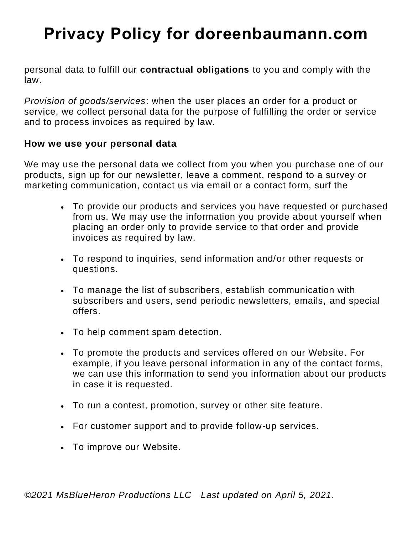personal data to fulfill our **contractual obligations** to you and comply with the law.

*Provision of goods/services*: when the user places an order for a product or service, we collect personal data for the purpose of fulfilling the order or service and to process invoices as required by law.

#### **How we use your personal data**

We may use the personal data we collect from you when you purchase one of our products, sign up for our newsletter, leave a comment, respond to a survey or marketing communication, contact us via email or a contact form, surf the

- To provide our products and services you have requested or purchased from us. We may use the information you provide about yourself when placing an order only to provide service to that order and provide invoices as required by law.
- To respond to inquiries, send information and/or other requests or questions.
- To manage the list of subscribers, establish communication with subscribers and users, send periodic newsletters, emails, and special offers.
- To help comment spam detection.
- To promote the products and services offered on our Website. For example, if you leave personal information in any of the contact forms, we can use this information to send you information about our products in case it is requested.
- To run a contest, promotion, survey or other site feature.
- For customer support and to provide follow-up services.
- To improve our Website.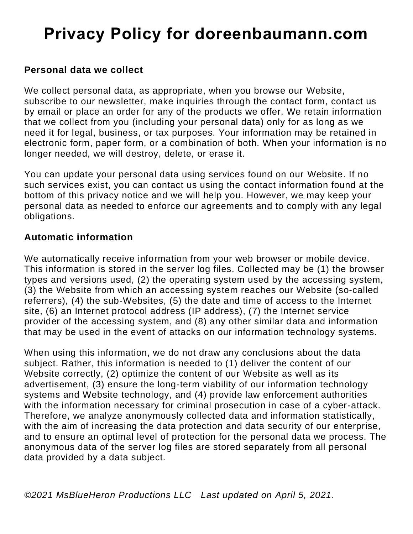### **Personal data we collect**

We collect personal data, as appropriate, when you browse our Website, subscribe to our newsletter, make inquiries through the contact form, contact us by email or place an order for any of the products we offer. We retain information that we collect from you (including your personal data) only for as long as we need it for legal, business, or tax purposes. Your information may be retained in electronic form, paper form, or a combination of both. When your information is no longer needed, we will destroy, delete, or erase it.

You can update your personal data using services found on our Website. If no such services exist, you can contact us using the contact information found at the bottom of this privacy notice and we will help you. However, we may keep your personal data as needed to enforce our agreements and to comply with any legal obligations.

### **Automatic information**

We automatically receive information from your web browser or mobile device. This information is stored in the server log files. Collected may be (1) the browser types and versions used, (2) the operating system used by the accessing system, (3) the Website from which an accessing system reaches our Website (so-called referrers), (4) the sub-Websites, (5) the date and time of access to the Internet site, (6) an Internet protocol address (IP address), (7) the Internet service provider of the accessing system, and (8) any other similar data and information that may be used in the event of attacks on our information technology systems.

When using this information, we do not draw any conclusions about the data subject. Rather, this information is needed to (1) deliver the content of our Website correctly, (2) optimize the content of our Website as well as its advertisement, (3) ensure the long-term viability of our information technology systems and Website technology, and (4) provide law enforcement authorities with the information necessary for criminal prosecution in case of a cyber-attack. Therefore, we analyze anonymously collected data and information statistically, with the aim of increasing the data protection and data security of our enterprise, and to ensure an optimal level of protection for the personal data we process. The anonymous data of the server log files are stored separately from all personal data provided by a data subject.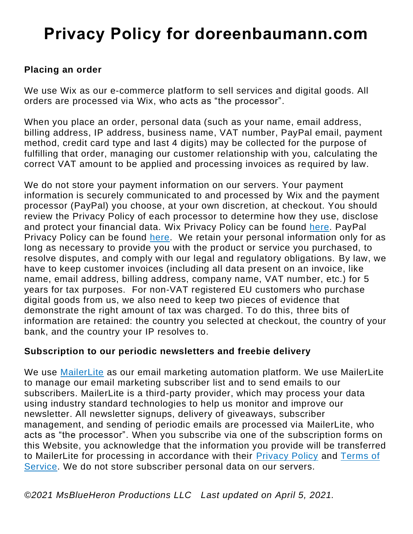#### **Placing an order**

We use Wix as our e-commerce platform to sell services and digital goods. All orders are processed via Wix, who acts as "the processor".

When you place an order, personal data (such as your name, email address, billing address, IP address, business name, VAT number, PayPal email, payment method, credit card type and last 4 digits) may be collected for the purpose of fulfilling that order, managing our customer relationship with you, calculating the correct VAT amount to be applied and processing invoices as required by law.

We do not store your payment information on our servers. Your payment information is securely communicated to and processed by Wix and the payment processor (PayPal) you choose, at your own discretion, at checkout. You should review the Privacy Policy of each processor to determine how they use, disclose and protect your financial data. Wix Privacy Policy can be found [here.](https://www.wix.com/about/privacy) PayPal Privacy Policy can be found [here.](https://www.paypal.com/en/webapps/mpp/ua/privacy-full) We retain your personal information only for as long as necessary to provide you with the product or service you purchased, to resolve disputes, and comply with our legal and regulatory obligations. By law, we have to keep customer invoices (including all data present on an invoice, like name, email address, billing address, company name, VAT number, etc.) for 5 years for tax purposes. For non-VAT registered EU customers who purchase digital goods from us, we also need to keep two pieces of evidence that demonstrate the right amount of tax was charged. To do this, three bits of information are retained: the country you selected at checkout, the country of your bank, and the country your IP resolves to.

#### **Subscription to our periodic newsletters and freebie delivery**

We use [MailerLite](https://www.bylauraiancu.com/MailerLite) as our email marketing automation platform. We use MailerLite to manage our email marketing subscriber list and to send emails to our subscribers. MailerLite is a third-party provider, which may process your data using industry standard technologies to help us monitor and improve our newsletter. All newsletter signups, delivery of giveaways, subscriber management, and sending of periodic emails are processed via MailerLite, who acts as "the processor". When you subscribe via one of the subscription forms on this Website, you acknowledge that the information you provide will be transferred to MailerLite for processing in accordance with their [Privacy Policy](https://www.mailerlite.com/privacy-policy) and [Terms of](https://www.mailerlite.com/terms-of-service)  [Service.](https://www.mailerlite.com/terms-of-service) We do not store subscriber personal data on our servers.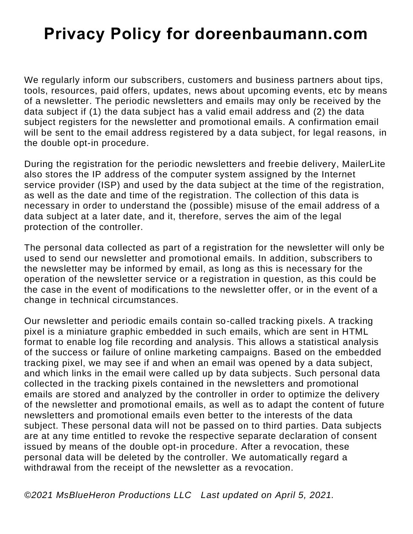We regularly inform our subscribers, customers and business partners about tips, tools, resources, paid offers, updates, news about upcoming events, etc by means of a newsletter. The periodic newsletters and emails may only be received by the data subject if (1) the data subject has a valid email address and (2) the data subject registers for the newsletter and promotional emails. A confirmation email will be sent to the email address registered by a data subject, for legal reasons, in the double opt-in procedure.

During the registration for the periodic newsletters and freebie delivery, MailerLite also stores the IP address of the computer system assigned by the Internet service provider (ISP) and used by the data subject at the time of the registration, as well as the date and time of the registration. The collection of this data is necessary in order to understand the (possible) misuse of the email address of a data subject at a later date, and it, therefore, serves the aim of the legal protection of the controller.

The personal data collected as part of a registration for the newsletter will only be used to send our newsletter and promotional emails. In addition, subscribers to the newsletter may be informed by email, as long as this is necessary for the operation of the newsletter service or a registration in question, as this could be the case in the event of modifications to the newsletter offer, or in the event of a change in technical circumstances.

Our newsletter and periodic emails contain so-called tracking pixels. A tracking pixel is a miniature graphic embedded in such emails, which are sent in HTML format to enable log file recording and analysis. This allows a statistical analysis of the success or failure of online marketing campaigns. Based on the embedded tracking pixel, we may see if and when an email was opened by a data subject, and which links in the email were called up by data subjects. Such personal data collected in the tracking pixels contained in the newsletters and promotional emails are stored and analyzed by the controller in order to optimize the delivery of the newsletter and promotional emails, as well as to adapt the content of future newsletters and promotional emails even better to the interests of the data subject. These personal data will not be passed on to third parties. Data subjects are at any time entitled to revoke the respective separate declaration of consent issued by means of the double opt-in procedure. After a revocation, these personal data will be deleted by the controller. We automatically regard a withdrawal from the receipt of the newsletter as a revocation.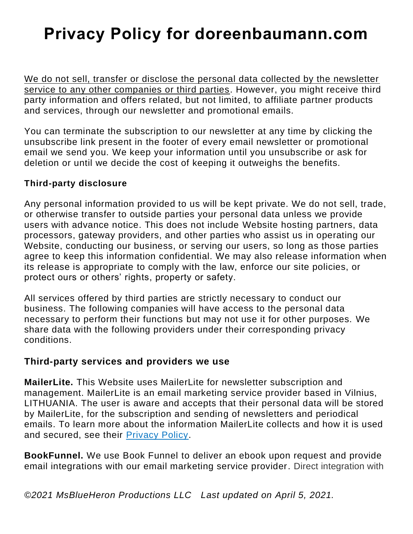We do not sell, transfer or disclose the personal data collected by the newsletter service to any other companies or third parties. However, you might receive third party information and offers related, but not limited, to affiliate partner products and services, through our newsletter and promotional emails.

You can terminate the subscription to our newsletter at any time by clicking the unsubscribe link present in the footer of every email newsletter or promotional email we send you. We keep your information until you unsubscribe or ask for deletion or until we decide the cost of keeping it outweighs the benefits.

#### **Third-party disclosure**

Any personal information provided to us will be kept private. We do not sell, trade, or otherwise transfer to outside parties your personal data unless we provide users with advance notice. This does not include Website hosting partners, data processors, gateway providers, and other parties who assist us in operating our Website, conducting our business, or serving our users, so long as those parties agree to keep this information confidential. We may also release information when its release is appropriate to comply with the law, enforce our site policies, or protect ours or others' rights, property or safety.

All services offered by third parties are strictly necessary to conduct our business. The following companies will have access to the personal data necessary to perform their functions but may not use it for other purposes. We share data with the following providers under their corresponding privacy conditions.

#### **Third-party services and providers we use**

**MailerLite.** This Website uses MailerLite for newsletter subscription and management. MailerLite is an email marketing service provider based in Vilnius, LITHUANIA. The user is aware and accepts that their personal data will be stored by MailerLite, for the subscription and sending of newsletters and periodical emails. To learn more about the information MailerLite collects and how it is used and secured, see their [Privacy Policy.](https://www.mailerlite.com/privacy-policy)

**BookFunnel.** We use Book Funnel to deliver an ebook upon request and provide email integrations with our email marketing service provider. Direct integration with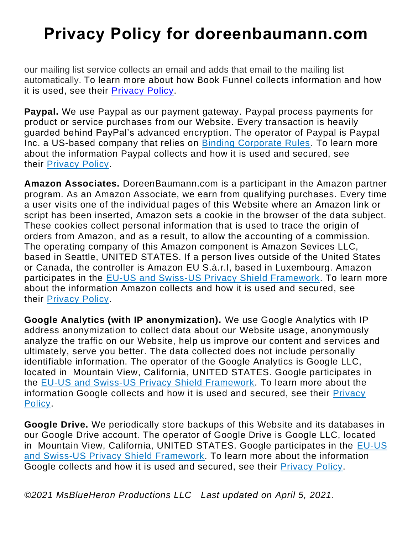our mailing list service collects an email and adds that email to the mailing list automatically. To learn more about how Book Funnel collects information and how it is used, see their [Privacy Policy.](https://bookfunnel.com/privacy/)

**Paypal.** We use Paypal as our payment gateway. Paypal process payments for product or service purchases from our Website. Every transaction is heavily guarded behind PayPal's advanced encryption. The operator of Paypal is Paypal Inc. a US-based company that relies on [Binding Corporate Rules.](https://www.paypal.com/uk/webapps/mpp/ua/bcr) To learn more about the information Paypal collects and how it is used and secured, see their [Privacy Policy.](https://www.paypal.com/en/webapps/mpp/ua/privacy-full)

**Amazon Associates.** DoreenBaumann.com is a participant in the Amazon partner program. As an Amazon Associate, we earn from qualifying purchases. Every time a user visits one of the individual pages of this Website where an Amazon link or script has been inserted, Amazon sets a cookie in the browser of the data subject. These cookies collect personal information that is used to trace the origin of orders from Amazon, and as a result, to allow the accounting of a commission. The operating company of this Amazon component is Amazon Sevices LLC, based in Seattle, UNITED STATES. If a person lives outside of the United States or Canada, the controller is Amazon EU S.à.r.l, based in Luxembourg. Amazon participates in the [EU-US and Swiss-US Privacy Shield Framework.](https://www.amazon.com/gp/help/customer/display.html/ref=hp_left_v4_sib?ie=UTF8&nodeId=202135380) To learn more about the information Amazon collects and how it is used and secured, see their [Privacy Policy.](https://services.amazon.com/privacy-policy.htm)

**Google Analytics (with IP anonymization).** We use Google Analytics with IP address anonymization to collect data about our Website usage, anonymously analyze the traffic on our Website, help us improve our content and services and ultimately, serve you better. The data collected does not include personally identifiable information. The operator of the Google Analytics is Google LLC, located in Mountain View, California, UNITED STATES. Google participates in the [EU-US and Swiss-US Privacy Shield Framework.](https://policies.google.com/privacy/frameworks) To learn more about the information Google collects and how it is used and secured, see their [Privacy](https://policies.google.com/privacy)  [Policy.](https://policies.google.com/privacy)

**Google Drive.** We periodically store backups of this Website and its databases in our Google Drive account. The operator of Google Drive is Google LLC, located in Mountain View, California, UNITED STATES. Google participates in the [EU-US](https://policies.google.com/privacy/frameworks)  [and Swiss-US Privacy Shield Framework.](https://policies.google.com/privacy/frameworks) To learn more about the information Google collects and how it is used and secured, see their [Privacy Policy.](https://policies.google.com/privacy)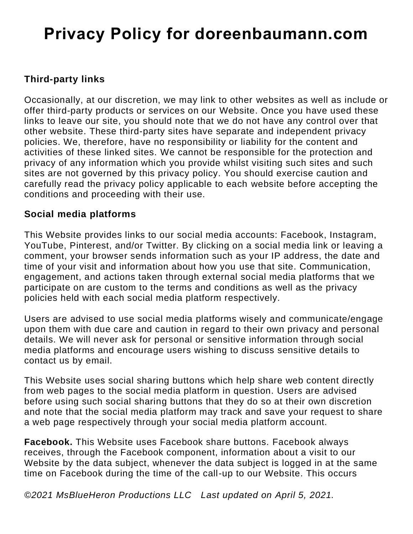## **Third-party links**

Occasionally, at our discretion, we may link to other websites as well as include or offer third-party products or services on our Website. Once you have used these links to leave our site, you should note that we do not have any control over that other website. These third-party sites have separate and independent privacy policies. We, therefore, have no responsibility or liability for the content and activities of these linked sites. We cannot be responsible for the protection and privacy of any information which you provide whilst visiting such sites and such sites are not governed by this privacy policy. You should exercise caution and carefully read the privacy policy applicable to each website before accepting the conditions and proceeding with their use.

### **Social media platforms**

This Website provides links to our social media accounts: Facebook, Instagram, YouTube, Pinterest, and/or Twitter. By clicking on a social media link or leaving a comment, your browser sends information such as your IP address, the date and time of your visit and information about how you use that site. Communication, engagement, and actions taken through external social media platforms that we participate on are custom to the terms and conditions as well as the privacy policies held with each social media platform respectively.

Users are advised to use social media platforms wisely and communicate/engage upon them with due care and caution in regard to their own privacy and personal details. We will never ask for personal or sensitive information through social media platforms and encourage users wishing to discuss sensitive details to contact us by email.

This Website uses social sharing buttons which help share web content directly from web pages to the social media platform in question. Users are advised before using such social sharing buttons that they do so at their own discretion and note that the social media platform may track and save your request to share a web page respectively through your social media platform account.

**Facebook.** This Website uses Facebook share buttons. Facebook always receives, through the Facebook component, information about a visit to our Website by the data subject, whenever the data subject is logged in at the same time on Facebook during the time of the call-up to our Website. This occurs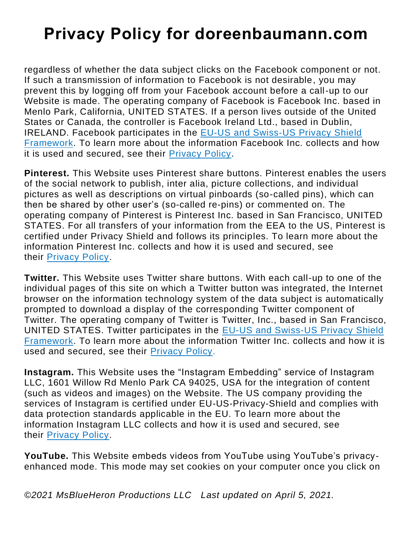regardless of whether the data subject clicks on the Facebook component or not. If such a transmission of information to Facebook is not desirable, you may prevent this by logging off from your Facebook account before a call-up to our Website is made. The operating company of Facebook is Facebook Inc. based in Menlo Park, California, UNITED STATES. If a person lives outside of the United States or Canada, the controller is Facebook Ireland Ltd., based in Dublin, IRELAND. Facebook participates in the [EU-US and Swiss-US Privacy Shield](https://m.facebook.com/about/privacyshield)  [Framework.](https://m.facebook.com/about/privacyshield) To learn more about the information Facebook Inc. collects and how it is used and secured, see their [Privacy Policy.](https://www.facebook.com/about/privacy/update)

**Pinterest.** This Website uses Pinterest share buttons. Pinterest enables the users of the social network to publish, inter alia, picture collections, and individual pictures as well as descriptions on virtual pinboards (so-called pins), which can then be shared by other user's (so-called re-pins) or commented on. The operating company of Pinterest is Pinterest Inc. based in San Francisco, UNITED STATES. For all transfers of your information from the EEA to the US, Pinterest is certified under Privacy Shield and follows its principles. To learn more about the information Pinterest Inc. collects and how it is used and secured, see their [Privacy Policy.](https://policy.pinterest.com/en/privacy-policy)

**Twitter.** This Website uses Twitter share buttons. With each call-up to one of the individual pages of this site on which a Twitter button was integrated, the Internet browser on the information technology system of the data subject is automatically prompted to download a display of the corresponding Twitter component of Twitter. The operating company of Twitter is Twitter, Inc., based in San Francisco, UNITED STATES. Twitter participates in the [EU-US and Swiss-US Privacy Shield](https://www.privacyshield.gov/participant?id=a2zt0000000TORzAAO&status=Active)  [Framework.](https://www.privacyshield.gov/participant?id=a2zt0000000TORzAAO&status=Active) To learn more about the information Twitter Inc. collects and how it is used and secured, see their [Privacy Policy.](https://twitter.com/en/privacy#update)

**Instagram.** This Website uses the "Instagram Embedding" service of Instagram LLC, 1601 Willow Rd Menlo Park CA 94025, USA for the integration of content (such as videos and images) on the Website. The US company providing the services of Instagram is certified under EU-US-Privacy-Shield and complies with data protection standards applicable in the EU. To learn more about the information Instagram LLC collects and how it is used and secured, see their [Privacy Policy.](https://help.instagram.com/155833707900388)

**YouTube.** This Website embeds videos from YouTube using YouTube's privacyenhanced mode. This mode may set cookies on your computer once you click on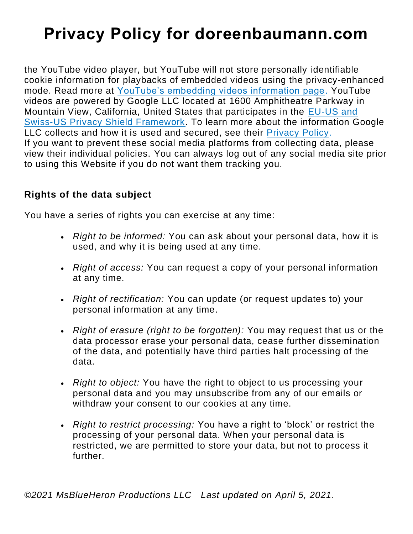the YouTube video player, but YouTube will not store personally identifiable cookie information for playbacks of embedded videos using the privacy-enhanced mode. Read more at [YouTube's embedding videos information page.](https://support.google.com/youtube/answer/171780?hl=en) YouTube videos are powered by Google LLC located at 1600 Amphitheatre Parkway in Mountain View, California, United States that participates in the [EU-US and](https://policies.google.com/privacy/frameworks)  [Swiss-US Privacy Shield Framework.](https://policies.google.com/privacy/frameworks) To learn more about the information Google LLC collects and how it is used and secured, see their [Privacy Policy.](http://www.google.com/intl/en/privacy/) If you want to prevent these social media platforms from collecting data, please view their individual policies. You can always log out of any social media site prior to using this Website if you do not want them tracking you.

### **Rights of the data subject**

You have a series of rights you can exercise at any time:

- *Right to be informed:* You can ask about your personal data, how it is used, and why it is being used at any time.
- *Right of access:* You can request a copy of your personal information at any time.
- *Right of rectification:* You can update (or request updates to) your personal information at any time.
- *Right of erasure (right to be forgotten):* You may request that us or the data processor erase your personal data, cease further dissemination of the data, and potentially have third parties halt processing of the data.
- *Right to object:* You have the right to object to us processing your personal data and you may unsubscribe from any of our emails or withdraw your consent to our cookies at any time.
- *Right to restrict processing:* You have a right to 'block' or restrict the processing of your personal data. When your personal data is restricted, we are permitted to store your data, but not to process it further.